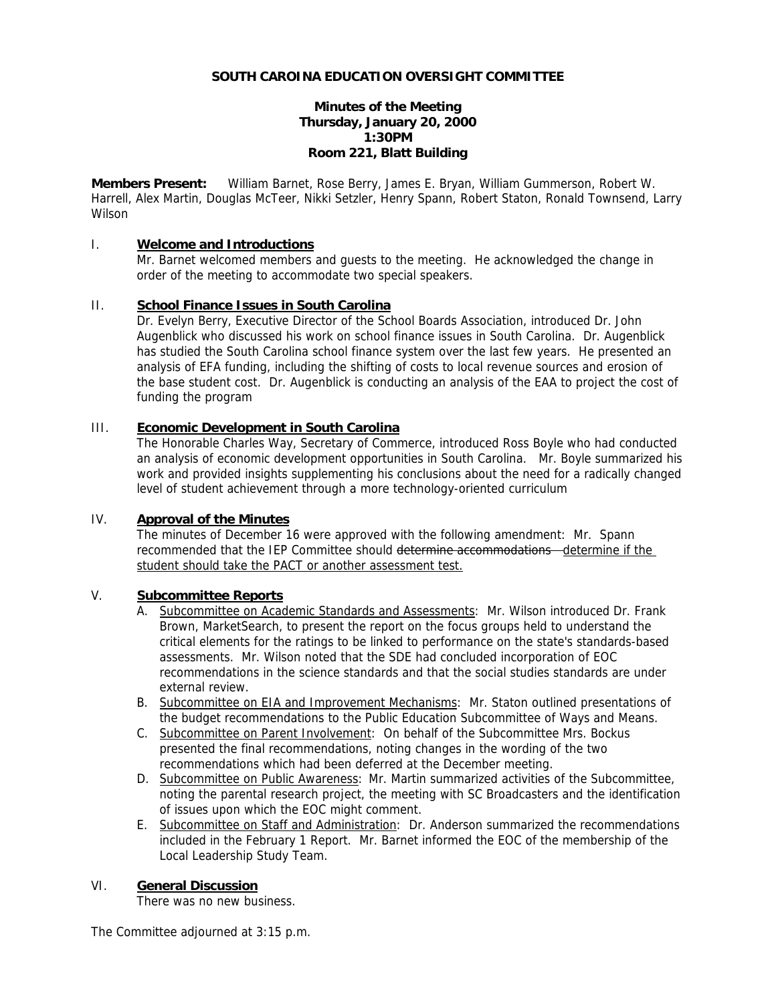# **Minutes of the Meeting Thursday, January 20, 2000 1:30PM Room 221, Blatt Building**

**Members Present:** William Barnet, Rose Berry, James E. Bryan, William Gummerson, Robert W. Harrell, Alex Martin, Douglas McTeer, Nikki Setzler, Henry Spann, Robert Staton, Ronald Townsend, Larry Wilson

# I. **Welcome and Introductions**

Mr. Barnet welcomed members and guests to the meeting. He acknowledged the change in order of the meeting to accommodate two special speakers.

# II. **School Finance Issues in South Carolina**

Dr. Evelyn Berry, Executive Director of the School Boards Association, introduced Dr. John Augenblick who discussed his work on school finance issues in South Carolina. Dr. Augenblick has studied the South Carolina school finance system over the last few years. He presented an analysis of EFA funding, including the shifting of costs to local revenue sources and erosion of the base student cost. Dr. Augenblick is conducting an analysis of the EAA to project the cost of funding the program

# III. **Economic Development in South Carolina**

The Honorable Charles Way, Secretary of Commerce, introduced Ross Boyle who had conducted an analysis of economic development opportunities in South Carolina. Mr. Boyle summarized his work and provided insights supplementing his conclusions about the need for a radically changed level of student achievement through a more technology-oriented curriculum

# IV. **Approval of the Minutes**

The minutes of December 16 were approved with the following amendment: Mr. Spann recommended that the IEP Committee should determine accommodations - determine if the student should take the PACT or another assessment test.

### V. **Subcommittee Reports**

- A. Subcommittee on Academic Standards and Assessments: Mr. Wilson introduced Dr. Frank Brown, MarketSearch, to present the report on the focus groups held to understand the critical elements for the ratings to be linked to performance on the state's standards-based assessments. Mr. Wilson noted that the SDE had concluded incorporation of EOC recommendations in the science standards and that the social studies standards are under external review.
- B. Subcommittee on EIA and Improvement Mechanisms: Mr. Staton outlined presentations of the budget recommendations to the Public Education Subcommittee of Ways and Means.
- C. Subcommittee on Parent Involvement: On behalf of the Subcommittee Mrs. Bockus presented the final recommendations, noting changes in the wording of the two recommendations which had been deferred at the December meeting.
- D. Subcommittee on Public Awareness: Mr. Martin summarized activities of the Subcommittee, noting the parental research project, the meeting with SC Broadcasters and the identification of issues upon which the EOC might comment.
- E. Subcommittee on Staff and Administration: Dr. Anderson summarized the recommendations included in the February 1 Report. Mr. Barnet informed the EOC of the membership of the Local Leadership Study Team.

# VI. **General Discussion**

There was no new business.

The Committee adjourned at 3:15 p.m.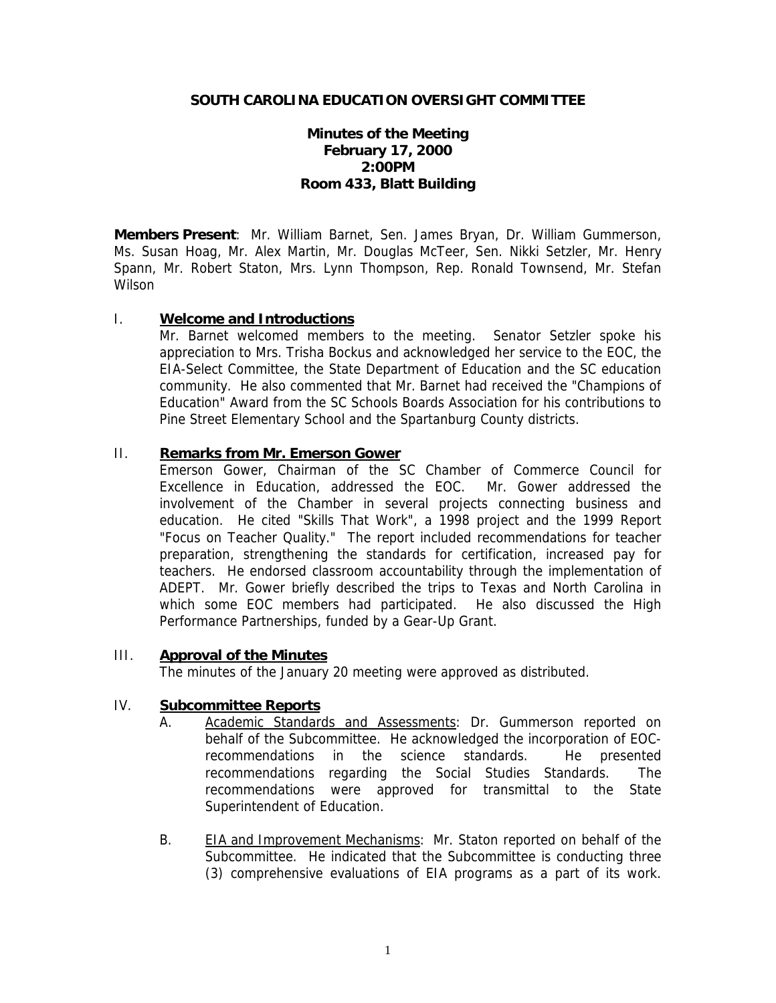# **Minutes of the Meeting February 17, 2000 2:00PM Room 433, Blatt Building**

**Members Present**: Mr. William Barnet, Sen. James Bryan, Dr. William Gummerson, Ms. Susan Hoag, Mr. Alex Martin, Mr. Douglas McTeer, Sen. Nikki Setzler, Mr. Henry Spann, Mr. Robert Staton, Mrs. Lynn Thompson, Rep. Ronald Townsend, Mr. Stefan **Wilson** 

# I. **Welcome and Introductions**

Mr. Barnet welcomed members to the meeting. Senator Setzler spoke his appreciation to Mrs. Trisha Bockus and acknowledged her service to the EOC, the EIA-Select Committee, the State Department of Education and the SC education community. He also commented that Mr. Barnet had received the "Champions of Education" Award from the SC Schools Boards Association for his contributions to Pine Street Elementary School and the Spartanburg County districts.

# II. **Remarks from Mr. Emerson Gower**

Emerson Gower, Chairman of the SC Chamber of Commerce Council for Excellence in Education, addressed the EOC. Mr. Gower addressed the involvement of the Chamber in several projects connecting business and education. He cited "Skills That Work", a 1998 project and the 1999 Report "Focus on Teacher Quality." The report included recommendations for teacher preparation, strengthening the standards for certification, increased pay for teachers. He endorsed classroom accountability through the implementation of ADEPT. Mr. Gower briefly described the trips to Texas and North Carolina in which some EOC members had participated. He also discussed the High Performance Partnerships, funded by a Gear-Up Grant.

# III. **Approval of the Minutes**

The minutes of the January 20 meeting were approved as distributed.

# IV. **Subcommittee Reports**

- A. Academic Standards and Assessments: Dr. Gummerson reported on behalf of the Subcommittee. He acknowledged the incorporation of EOCrecommendations in the science standards. He presented recommendations regarding the Social Studies Standards. The recommendations were approved for transmittal to the State Superintendent of Education.
- B. EIA and Improvement Mechanisms: Mr. Staton reported on behalf of the Subcommittee. He indicated that the Subcommittee is conducting three (3) comprehensive evaluations of EIA programs as a part of its work.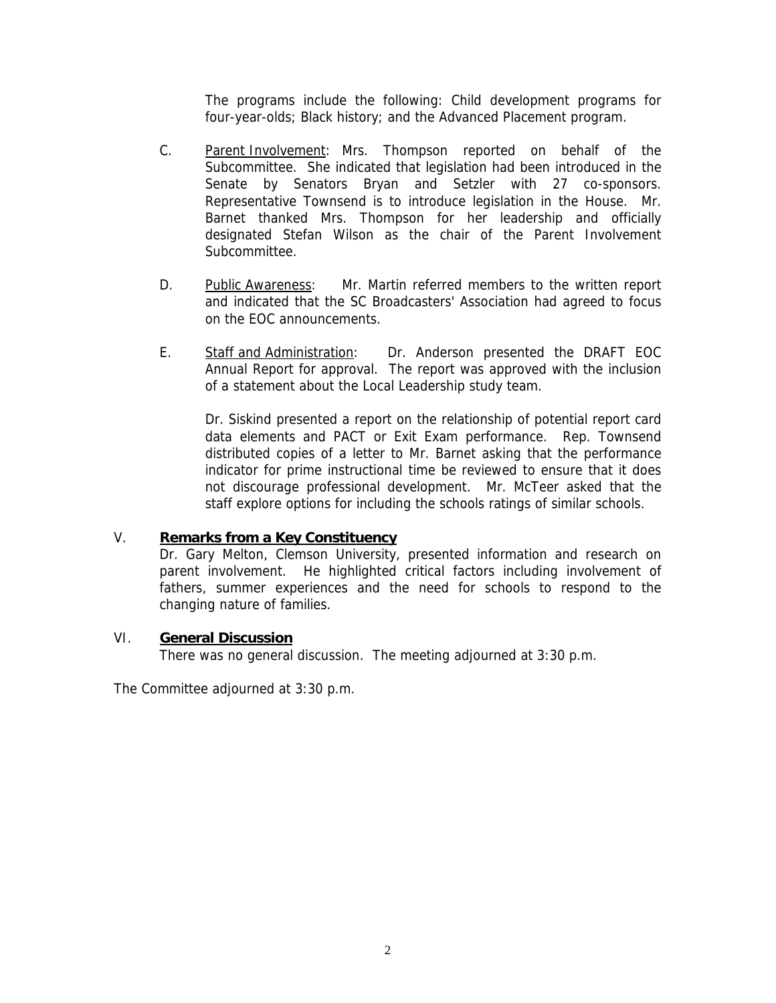The programs include the following: Child development programs for four-year-olds; Black history; and the Advanced Placement program.

- C. Parent Involvement: Mrs. Thompson reported on behalf of the Subcommittee. She indicated that legislation had been introduced in the Senate by Senators Bryan and Setzler with 27 co-sponsors. Representative Townsend is to introduce legislation in the House. Mr. Barnet thanked Mrs. Thompson for her leadership and officially designated Stefan Wilson as the chair of the Parent Involvement Subcommittee.
- D. Public Awareness: Mr. Martin referred members to the written report and indicated that the SC Broadcasters' Association had agreed to focus on the EOC announcements.
- E. Staff and Administration: Dr. Anderson presented the DRAFT EOC Annual Report for approval. The report was approved with the inclusion of a statement about the Local Leadership study team.

Dr. Siskind presented a report on the relationship of potential report card data elements and PACT or Exit Exam performance. Rep. Townsend distributed copies of a letter to Mr. Barnet asking that the performance indicator for prime instructional time be reviewed to ensure that it does not discourage professional development. Mr. McTeer asked that the staff explore options for including the schools ratings of similar schools.

# V. **Remarks from a Key Constituency**

Dr. Gary Melton, Clemson University, presented information and research on parent involvement. He highlighted critical factors including involvement of fathers, summer experiences and the need for schools to respond to the changing nature of families.

# VI. **General Discussion**

There was no general discussion. The meeting adjourned at 3:30 p.m.

The Committee adjourned at 3:30 p.m.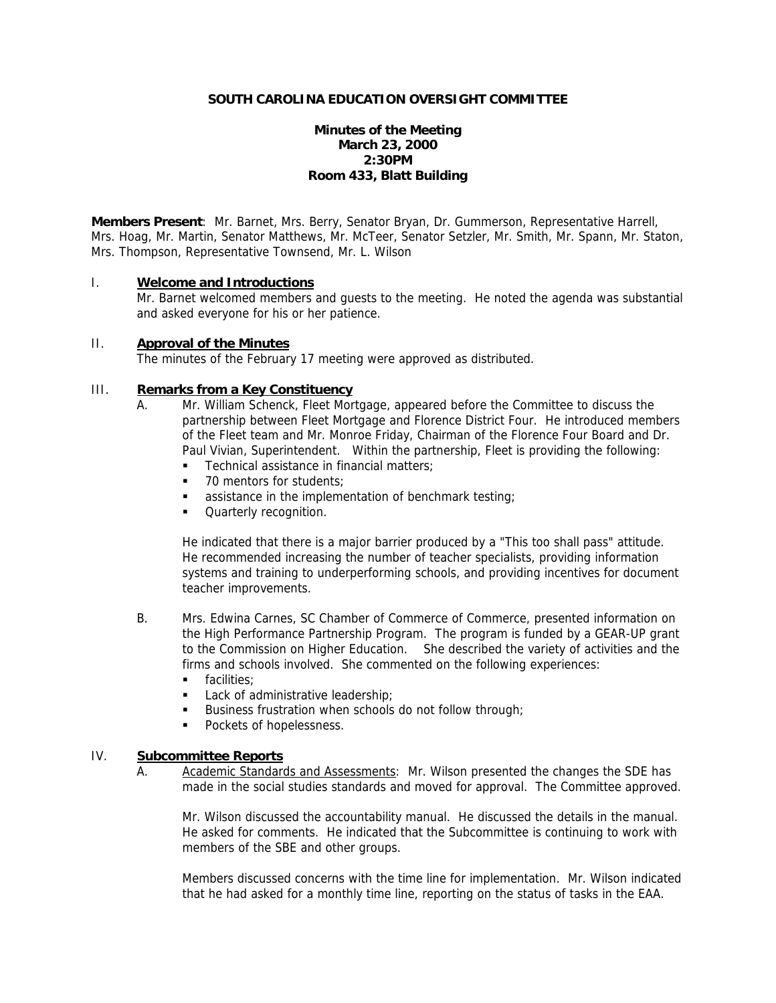# **Minutes of the Meeting March 23, 2000 2:30PM Room 433, Blatt Building**

**Members Present**: Mr. Barnet, Mrs. Berry, Senator Bryan, Dr. Gummerson, Representative Harrell, Mrs. Hoag, Mr. Martin, Senator Matthews, Mr. McTeer, Senator Setzler, Mr. Smith, Mr. Spann, Mr. Staton, Mrs. Thompson, Representative Townsend, Mr. L. Wilson

### I. **Welcome and Introductions**

Mr. Barnet welcomed members and guests to the meeting. He noted the agenda was substantial and asked everyone for his or her patience.

#### II. **Approval of the Minutes**

The minutes of the February 17 meeting were approved as distributed.

# III. **Remarks from a Key Constituency**

- A. Mr. William Schenck, Fleet Mortgage, appeared before the Committee to discuss the partnership between Fleet Mortgage and Florence District Four. He introduced members of the Fleet team and Mr. Monroe Friday, Chairman of the Florence Four Board and Dr. Paul Vivian, Superintendent. Within the partnership, Fleet is providing the following:
	- **Technical assistance in financial matters;**
	- 70 mentors for students:
	- **assistance in the implementation of benchmark testing;**
	- **Quarterly recognition.**

He indicated that there is a major barrier produced by a "This too shall pass" attitude. He recommended increasing the number of teacher specialists, providing information systems and training to underperforming schools, and providing incentives for document teacher improvements.

- B. Mrs. Edwina Carnes, SC Chamber of Commerce of Commerce, presented information on the High Performance Partnership Program. The program is funded by a GEAR-UP grant to the Commission on Higher Education. She described the variety of activities and the firms and schools involved. She commented on the following experiences:
	- **facilities**
	- Lack of administrative leadership;
	- Business frustration when schools do not follow through;
	- **Pockets of hopelessness.**

# IV. **Subcommittee Reports**

A. Academic Standards and Assessments: Mr. Wilson presented the changes the SDE has made in the social studies standards and moved for approval. The Committee approved.

Mr. Wilson discussed the accountability manual. He discussed the details in the manual. He asked for comments. He indicated that the Subcommittee is continuing to work with members of the SBE and other groups.

Members discussed concerns with the time line for implementation. Mr. Wilson indicated that he had asked for a monthly time line, reporting on the status of tasks in the EAA.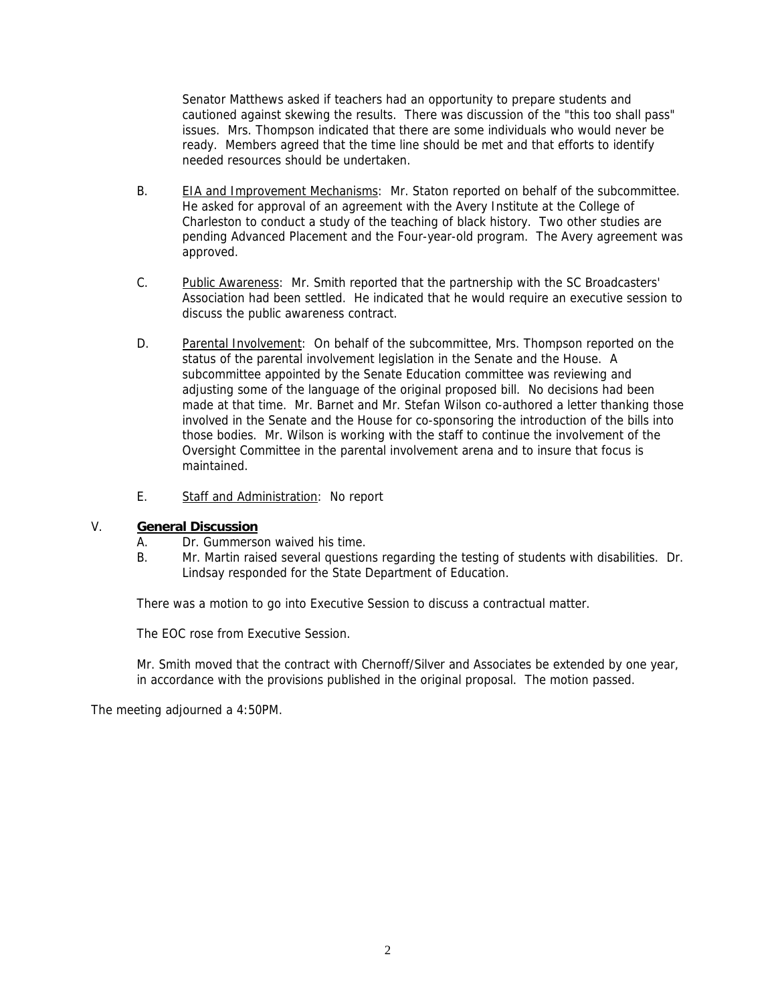Senator Matthews asked if teachers had an opportunity to prepare students and cautioned against skewing the results. There was discussion of the "this too shall pass" issues. Mrs. Thompson indicated that there are some individuals who would never be ready. Members agreed that the time line should be met and that efforts to identify needed resources should be undertaken.

- B. EIA and Improvement Mechanisms: Mr. Staton reported on behalf of the subcommittee. He asked for approval of an agreement with the Avery Institute at the College of Charleston to conduct a study of the teaching of black history. Two other studies are pending Advanced Placement and the Four-year-old program. The Avery agreement was approved.
- C. Public Awareness: Mr. Smith reported that the partnership with the SC Broadcasters' Association had been settled. He indicated that he would require an executive session to discuss the public awareness contract.
- D. Parental Involvement: On behalf of the subcommittee, Mrs. Thompson reported on the status of the parental involvement legislation in the Senate and the House. A subcommittee appointed by the Senate Education committee was reviewing and adjusting some of the language of the original proposed bill. No decisions had been made at that time. Mr. Barnet and Mr. Stefan Wilson co-authored a letter thanking those involved in the Senate and the House for co-sponsoring the introduction of the bills into those bodies. Mr. Wilson is working with the staff to continue the involvement of the Oversight Committee in the parental involvement arena and to insure that focus is maintained.
- E. Staff and Administration: No report

# V. **General Discussion**

- A. Dr. Gummerson waived his time.
- B. Mr. Martin raised several questions regarding the testing of students with disabilities. Dr. Lindsay responded for the State Department of Education.

There was a motion to go into Executive Session to discuss a contractual matter.

The EOC rose from Executive Session.

Mr. Smith moved that the contract with Chernoff/Silver and Associates be extended by one year, in accordance with the provisions published in the original proposal. The motion passed.

The meeting adjourned a 4:50PM.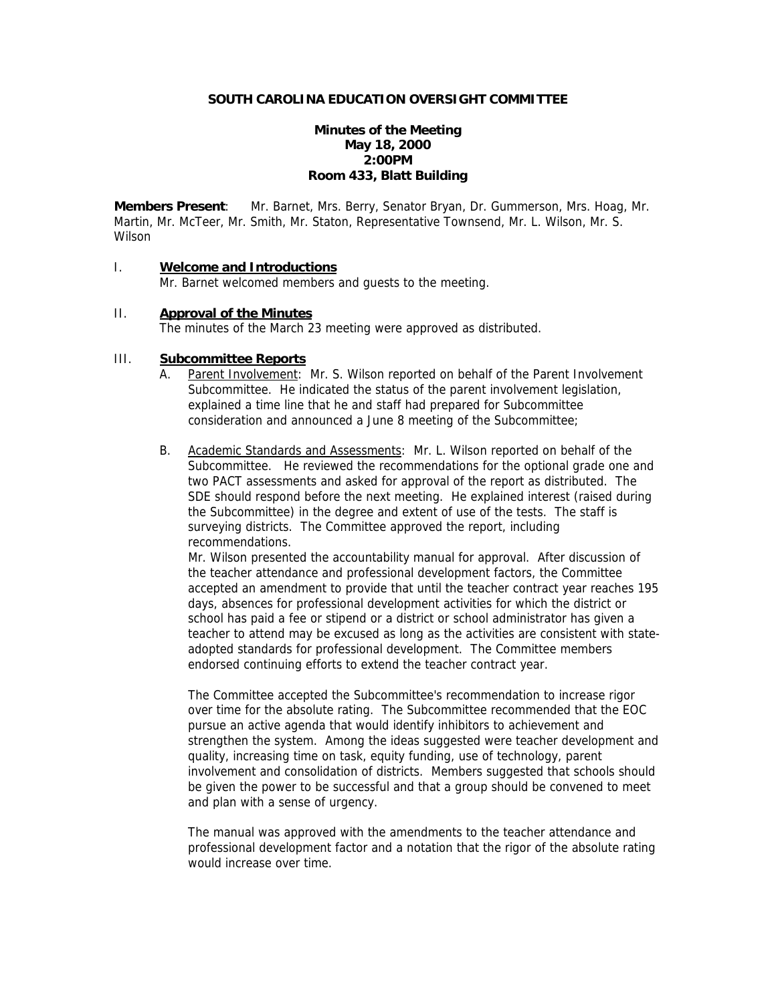# **Minutes of the Meeting May 18, 2000 2:00PM Room 433, Blatt Building**

**Members Present**: Mr. Barnet, Mrs. Berry, Senator Bryan, Dr. Gummerson, Mrs. Hoag, Mr. Martin, Mr. McTeer, Mr. Smith, Mr. Staton, Representative Townsend, Mr. L. Wilson, Mr. S. Wilson

# I. **Welcome and Introductions**

Mr. Barnet welcomed members and guests to the meeting.

# II. **Approval of the Minutes**

The minutes of the March 23 meeting were approved as distributed.

#### III. **Subcommittee Reports**

- A. Parent Involvement: Mr. S. Wilson reported on behalf of the Parent Involvement Subcommittee. He indicated the status of the parent involvement legislation, explained a time line that he and staff had prepared for Subcommittee consideration and announced a June 8 meeting of the Subcommittee;
- B. Academic Standards and Assessments: Mr. L. Wilson reported on behalf of the Subcommittee. He reviewed the recommendations for the optional grade one and two PACT assessments and asked for approval of the report as distributed. The SDE should respond before the next meeting. He explained interest (raised during the Subcommittee) in the degree and extent of use of the tests. The staff is surveying districts. The Committee approved the report, including recommendations.

 Mr. Wilson presented the accountability manual for approval. After discussion of the teacher attendance and professional development factors, the Committee accepted an amendment to provide that until the teacher contract year reaches 195 days, absences for professional development activities for which the district or school has paid a fee or stipend or a district or school administrator has given a teacher to attend may be excused as long as the activities are consistent with stateadopted standards for professional development. The Committee members endorsed continuing efforts to extend the teacher contract year.

 The Committee accepted the Subcommittee's recommendation to increase rigor over time for the absolute rating. The Subcommittee recommended that the EOC pursue an active agenda that would identify inhibitors to achievement and strengthen the system. Among the ideas suggested were teacher development and quality, increasing time on task, equity funding, use of technology, parent involvement and consolidation of districts. Members suggested that schools should be given the power to be successful and that a group should be convened to meet and plan with a sense of urgency.

The manual was approved with the amendments to the teacher attendance and professional development factor and a notation that the rigor of the absolute rating would increase over time.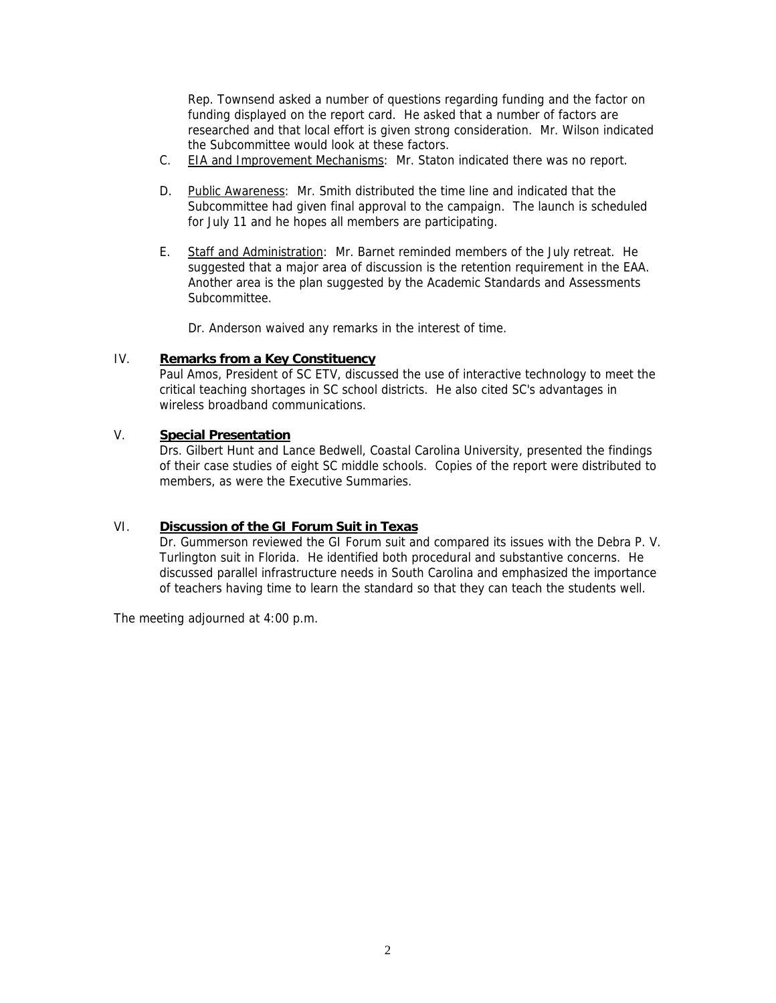Rep. Townsend asked a number of questions regarding funding and the factor on funding displayed on the report card. He asked that a number of factors are researched and that local effort is given strong consideration. Mr. Wilson indicated the Subcommittee would look at these factors.

- C. EIA and Improvement Mechanisms: Mr. Staton indicated there was no report.
- D. Public Awareness: Mr. Smith distributed the time line and indicated that the Subcommittee had given final approval to the campaign. The launch is scheduled for July 11 and he hopes all members are participating.
- E. Staff and Administration: Mr. Barnet reminded members of the July retreat. He suggested that a major area of discussion is the retention requirement in the EAA. Another area is the plan suggested by the Academic Standards and Assessments Subcommittee.

Dr. Anderson waived any remarks in the interest of time.

# IV. **Remarks from a Key Constituency**

Paul Amos, President of SC ETV, discussed the use of interactive technology to meet the critical teaching shortages in SC school districts. He also cited SC's advantages in wireless broadband communications.

# V. **Special Presentation**

Drs. Gilbert Hunt and Lance Bedwell, Coastal Carolina University, presented the findings of their case studies of eight SC middle schools. Copies of the report were distributed to members, as were the Executive Summaries.

# VI. **Discussion of the GI Forum Suit in Texas**

Dr. Gummerson reviewed the GI Forum suit and compared its issues with the Debra P. V. Turlington suit in Florida. He identified both procedural and substantive concerns. He discussed parallel infrastructure needs in South Carolina and emphasized the importance of teachers having time to learn the standard so that they can teach the students well.

The meeting adjourned at 4:00 p.m.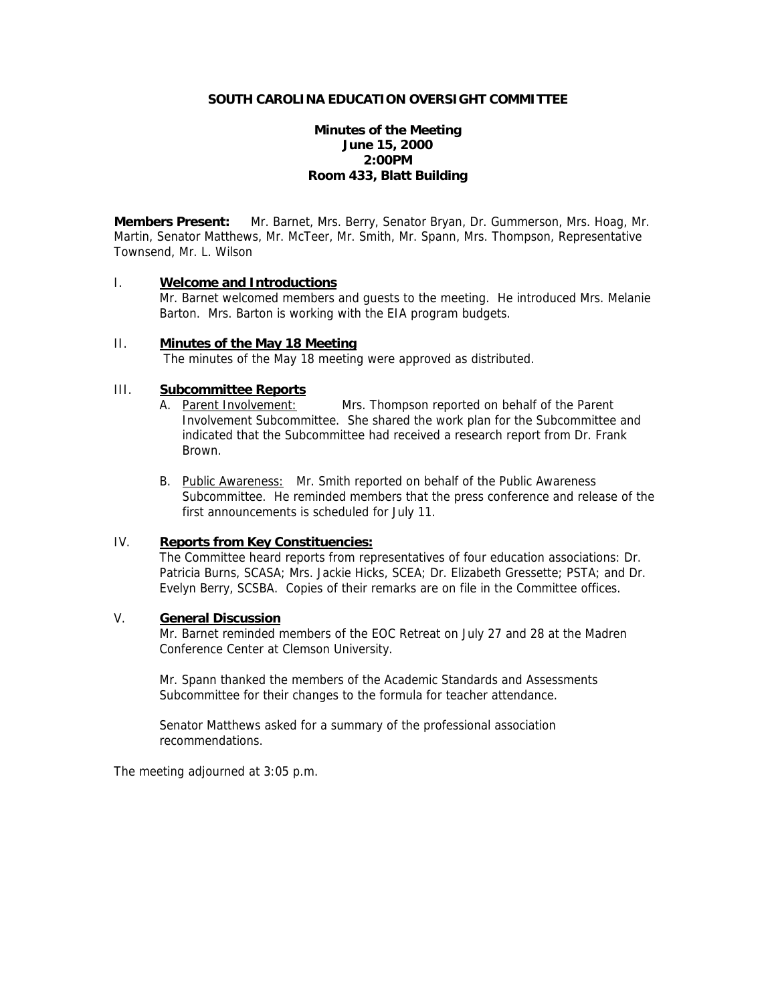# **Minutes of the Meeting June 15, 2000 2:00PM Room 433, Blatt Building**

**Members Present:** Mr. Barnet, Mrs. Berry, Senator Bryan, Dr. Gummerson, Mrs. Hoag, Mr. Martin, Senator Matthews, Mr. McTeer, Mr. Smith, Mr. Spann, Mrs. Thompson, Representative Townsend, Mr. L. Wilson

### I. **Welcome and Introductions**

Mr. Barnet welcomed members and guests to the meeting. He introduced Mrs. Melanie Barton. Mrs. Barton is working with the EIA program budgets.

## II. **Minutes of the May 18 Meeting**

The minutes of the May 18 meeting were approved as distributed.

# III. **Subcommittee Reports**

- A. Parent Involvement: Mrs. Thompson reported on behalf of the Parent Involvement Subcommittee. She shared the work plan for the Subcommittee and indicated that the Subcommittee had received a research report from Dr. Frank Brown.
- B. Public Awareness: Mr. Smith reported on behalf of the Public Awareness Subcommittee. He reminded members that the press conference and release of the first announcements is scheduled for July 11.

# IV. **Reports from Key Constituencies:**

The Committee heard reports from representatives of four education associations: Dr. Patricia Burns, SCASA; Mrs. Jackie Hicks, SCEA; Dr. Elizabeth Gressette; PSTA; and Dr. Evelyn Berry, SCSBA. Copies of their remarks are on file in the Committee offices.

#### V. **General Discussion**

Mr. Barnet reminded members of the EOC Retreat on July 27 and 28 at the Madren Conference Center at Clemson University.

Mr. Spann thanked the members of the Academic Standards and Assessments Subcommittee for their changes to the formula for teacher attendance.

Senator Matthews asked for a summary of the professional association recommendations.

The meeting adjourned at 3:05 p.m.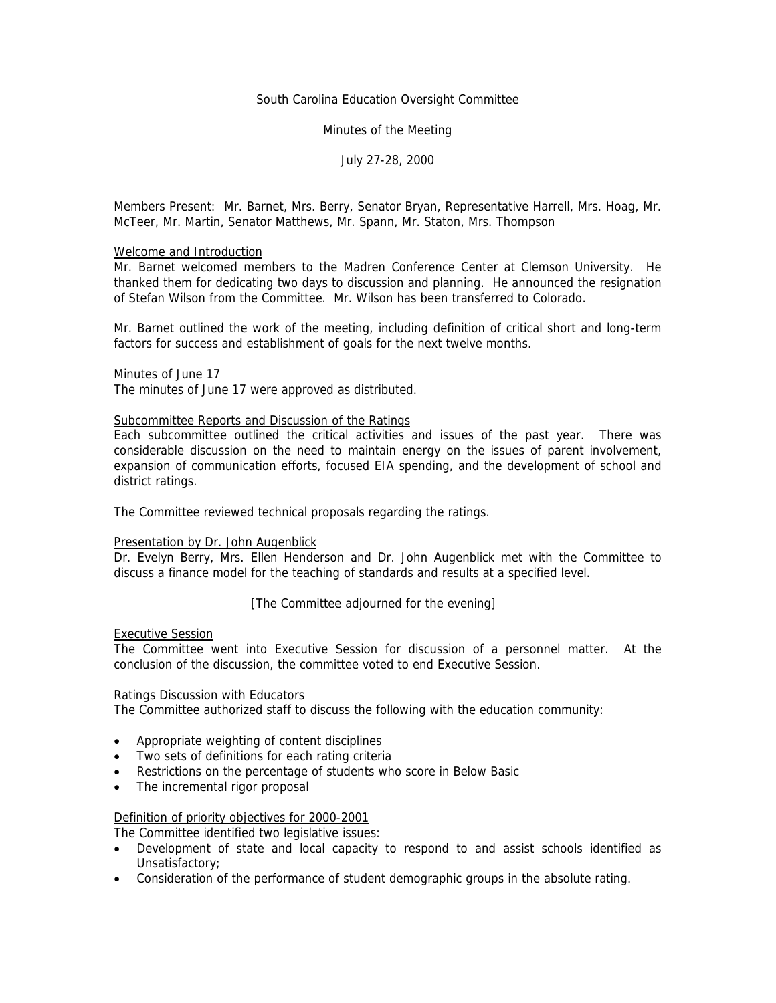### South Carolina Education Oversight Committee

### Minutes of the Meeting

## July 27-28, 2000

Members Present: Mr. Barnet, Mrs. Berry, Senator Bryan, Representative Harrell, Mrs. Hoag, Mr. McTeer, Mr. Martin, Senator Matthews, Mr. Spann, Mr. Staton, Mrs. Thompson

#### Welcome and Introduction

Mr. Barnet welcomed members to the Madren Conference Center at Clemson University. He thanked them for dedicating two days to discussion and planning. He announced the resignation of Stefan Wilson from the Committee. Mr. Wilson has been transferred to Colorado.

Mr. Barnet outlined the work of the meeting, including definition of critical short and long-term factors for success and establishment of goals for the next twelve months.

#### Minutes of June 17

The minutes of June 17 were approved as distributed.

#### Subcommittee Reports and Discussion of the Ratings

Each subcommittee outlined the critical activities and issues of the past year. There was considerable discussion on the need to maintain energy on the issues of parent involvement, expansion of communication efforts, focused EIA spending, and the development of school and district ratings.

The Committee reviewed technical proposals regarding the ratings.

### Presentation by Dr. John Augenblick

Dr. Evelyn Berry, Mrs. Ellen Henderson and Dr. John Augenblick met with the Committee to discuss a finance model for the teaching of standards and results at a specified level.

[The Committee adjourned for the evening]

# Executive Session

The Committee went into Executive Session for discussion of a personnel matter. At the conclusion of the discussion, the committee voted to end Executive Session.

### Ratings Discussion with Educators

The Committee authorized staff to discuss the following with the education community:

- Appropriate weighting of content disciplines
- Two sets of definitions for each rating criteria
- Restrictions on the percentage of students who score in Below Basic
- The incremental rigor proposal

### Definition of priority objectives for 2000-2001

The Committee identified two legislative issues:

- Development of state and local capacity to respond to and assist schools identified as Unsatisfactory;
- Consideration of the performance of student demographic groups in the absolute rating.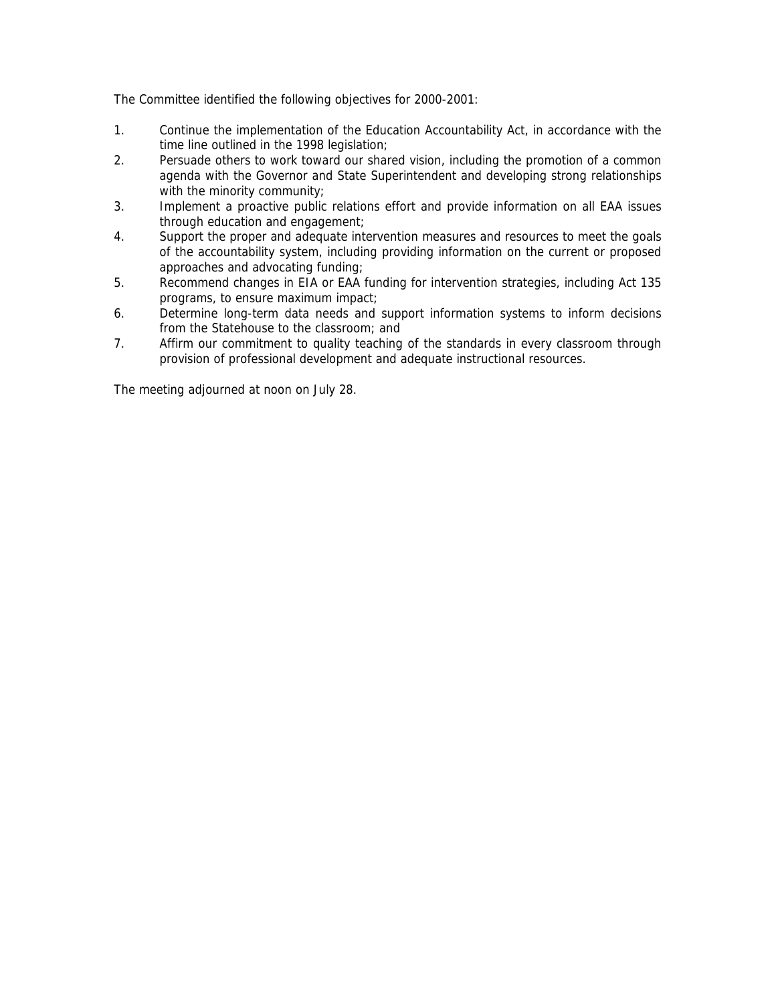The Committee identified the following objectives for 2000-2001:

- 1. Continue the implementation of the Education Accountability Act, in accordance with the time line outlined in the 1998 legislation;
- 2. Persuade others to work toward our shared vision, including the promotion of a common agenda with the Governor and State Superintendent and developing strong relationships with the minority community;
- 3. Implement a proactive public relations effort and provide information on all EAA issues through education and engagement;
- 4. Support the proper and adequate intervention measures and resources to meet the goals of the accountability system, including providing information on the current or proposed approaches and advocating funding;
- 5. Recommend changes in EIA or EAA funding for intervention strategies, including Act 135 programs, to ensure maximum impact;
- 6. Determine long-term data needs and support information systems to inform decisions from the Statehouse to the classroom; and
- 7. Affirm our commitment to quality teaching of the standards in every classroom through provision of professional development and adequate instructional resources.

The meeting adjourned at noon on July 28.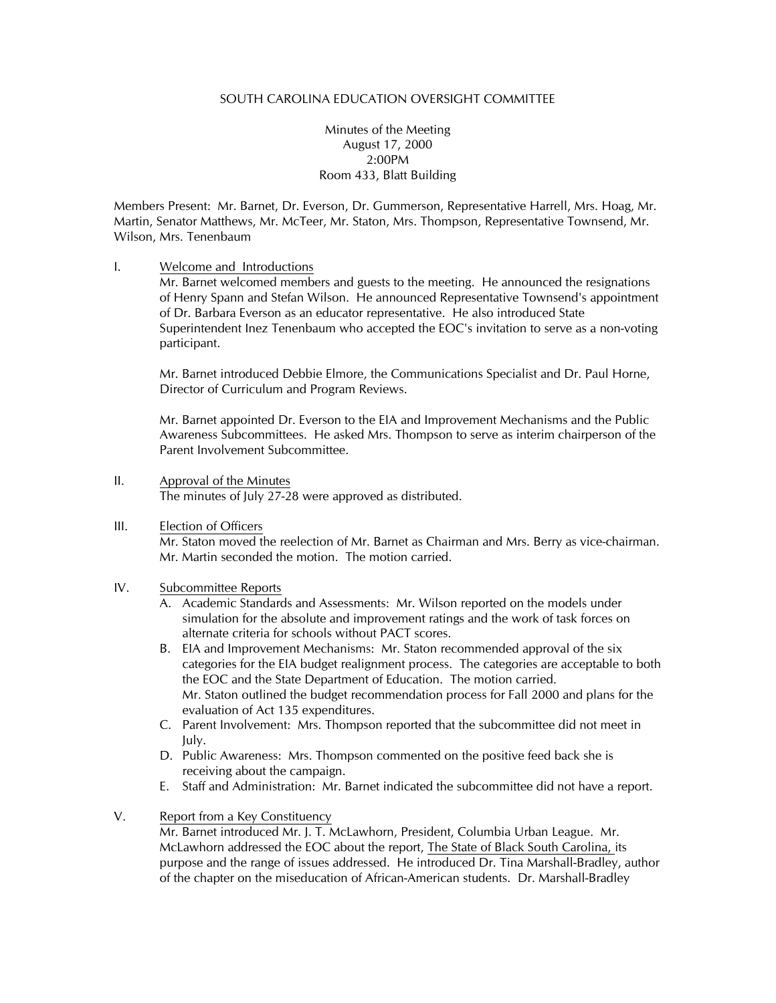Minutes of the Meeting August 17, 2000 2:00PM Room 433, Blatt Building

Members Present: Mr. Barnet, Dr. Everson, Dr. Gummerson, Representative Harrell, Mrs. Hoag, Mr. Martin, Senator Matthews, Mr. McTeer, Mr. Staton, Mrs. Thompson, Representative Townsend, Mr. Wilson, Mrs. Tenenbaum

I. Welcome and Introductions

Mr. Barnet welcomed members and guests to the meeting. He announced the resignations of Henry Spann and Stefan Wilson. He announced Representative Townsend's appointment of Dr. Barbara Everson as an educator representative. He also introduced State Superintendent Inez Tenenbaum who accepted the EOC's invitation to serve as a non-voting participant.

Mr. Barnet introduced Debbie Elmore, the Communications Specialist and Dr. Paul Horne, Director of Curriculum and Program Reviews.

Mr. Barnet appointed Dr. Everson to the EIA and Improvement Mechanisms and the Public Awareness Subcommittees. He asked Mrs. Thompson to serve as interim chairperson of the Parent Involvement Subcommittee.

- II. Approval of the Minutes The minutes of July 27-28 were approved as distributed.
- III. Election of Officers

Mr. Staton moved the reelection of Mr. Barnet as Chairman and Mrs. Berry as vice-chairman. Mr. Martin seconded the motion. The motion carried.

- IV. Subcommittee Reports
	- A. Academic Standards and Assessments: Mr. Wilson reported on the models under simulation for the absolute and improvement ratings and the work of task forces on alternate criteria for schools without PACT scores.
	- B. EIA and Improvement Mechanisms: Mr. Staton recommended approval of the six categories for the EIA budget realignment process. The categories are acceptable to both the EOC and the State Department of Education. The motion carried. Mr. Staton outlined the budget recommendation process for Fall 2000 and plans for the evaluation of Act 135 expenditures.
	- C. Parent Involvement: Mrs. Thompson reported that the subcommittee did not meet in July.
	- D. Public Awareness: Mrs. Thompson commented on the positive feed back she is receiving about the campaign.
	- E. Staff and Administration: Mr. Barnet indicated the subcommittee did not have a report.
- V. Report from a Key Constituency

Mr. Barnet introduced Mr. J. T. McLawhorn, President, Columbia Urban League. Mr. McLawhorn addressed the EOC about the report, The State of Black South Carolina, its purpose and the range of issues addressed. He introduced Dr. Tina Marshall-Bradley, author of the chapter on the miseducation of African-American students. Dr. Marshall-Bradley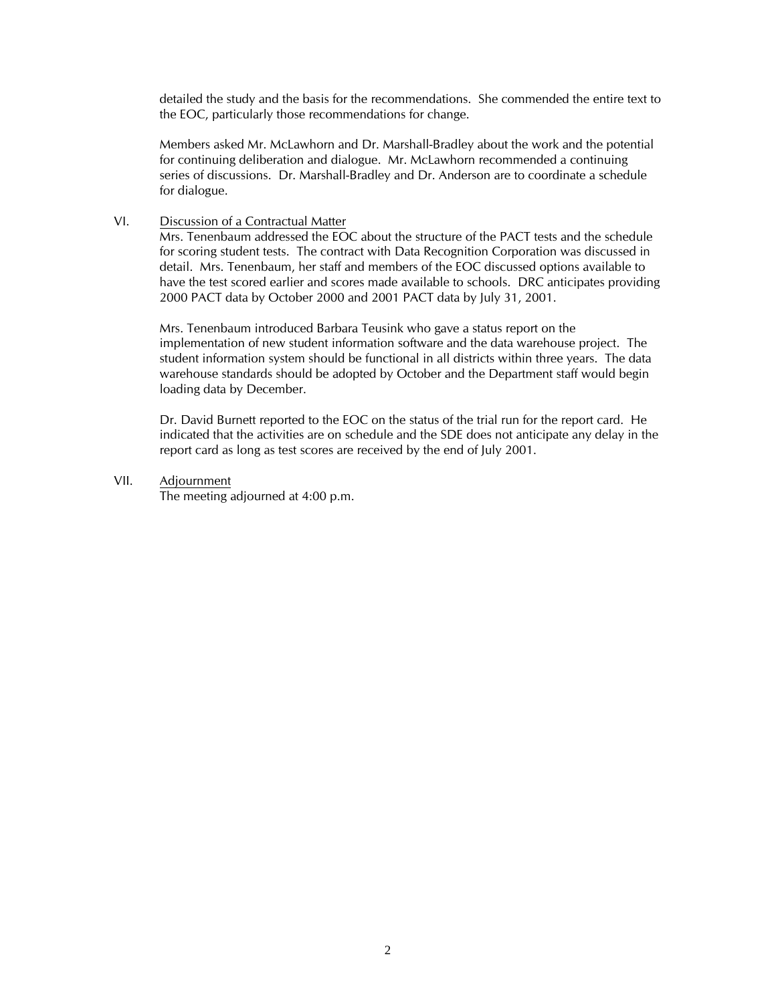detailed the study and the basis for the recommendations. She commended the entire text to the EOC, particularly those recommendations for change.

Members asked Mr. McLawhorn and Dr. Marshall-Bradley about the work and the potential for continuing deliberation and dialogue. Mr. McLawhorn recommended a continuing series of discussions. Dr. Marshall-Bradley and Dr. Anderson are to coordinate a schedule for dialogue.

### VI. Discussion of a Contractual Matter

Mrs. Tenenbaum addressed the EOC about the structure of the PACT tests and the schedule for scoring student tests. The contract with Data Recognition Corporation was discussed in detail. Mrs. Tenenbaum, her staff and members of the EOC discussed options available to have the test scored earlier and scores made available to schools. DRC anticipates providing 2000 PACT data by October 2000 and 2001 PACT data by July 31, 2001.

Mrs. Tenenbaum introduced Barbara Teusink who gave a status report on the implementation of new student information software and the data warehouse project. The student information system should be functional in all districts within three years. The data warehouse standards should be adopted by October and the Department staff would begin loading data by December.

Dr. David Burnett reported to the EOC on the status of the trial run for the report card. He indicated that the activities are on schedule and the SDE does not anticipate any delay in the report card as long as test scores are received by the end of July 2001.

### VII. Adjournment

The meeting adjourned at 4:00 p.m.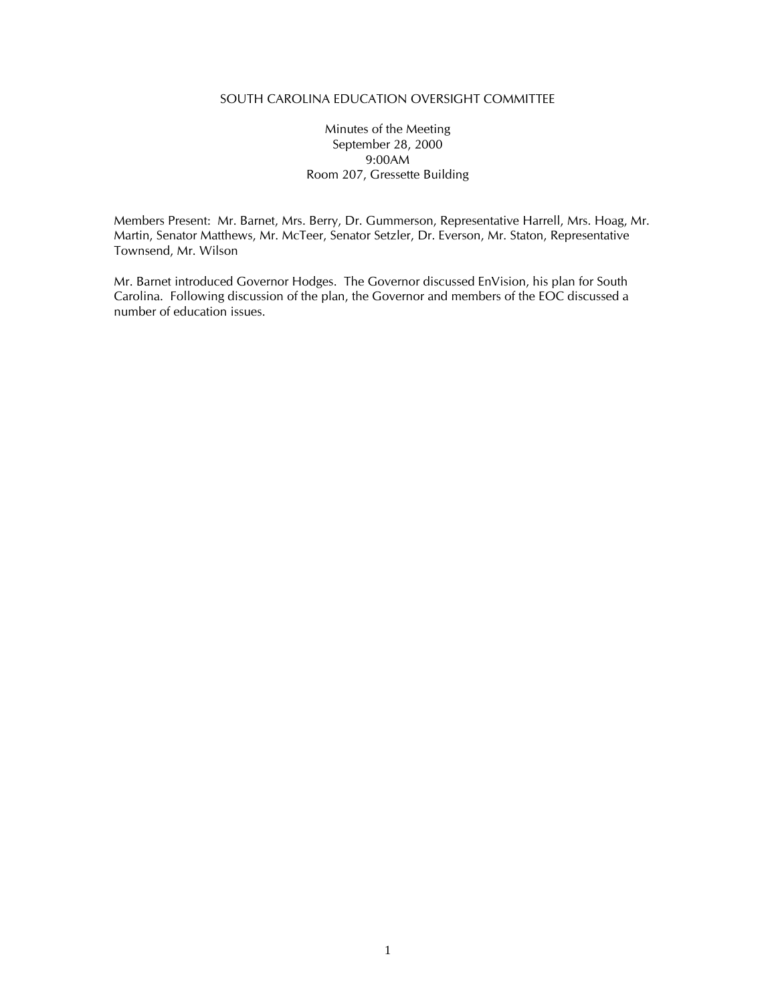## Minutes of the Meeting September 28, 2000 9:00AM Room 207, Gressette Building

Members Present: Mr. Barnet, Mrs. Berry, Dr. Gummerson, Representative Harrell, Mrs. Hoag, Mr. Martin, Senator Matthews, Mr. McTeer, Senator Setzler, Dr. Everson, Mr. Staton, Representative Townsend, Mr. Wilson

Mr. Barnet introduced Governor Hodges. The Governor discussed EnVision, his plan for South Carolina. Following discussion of the plan, the Governor and members of the EOC discussed a number of education issues.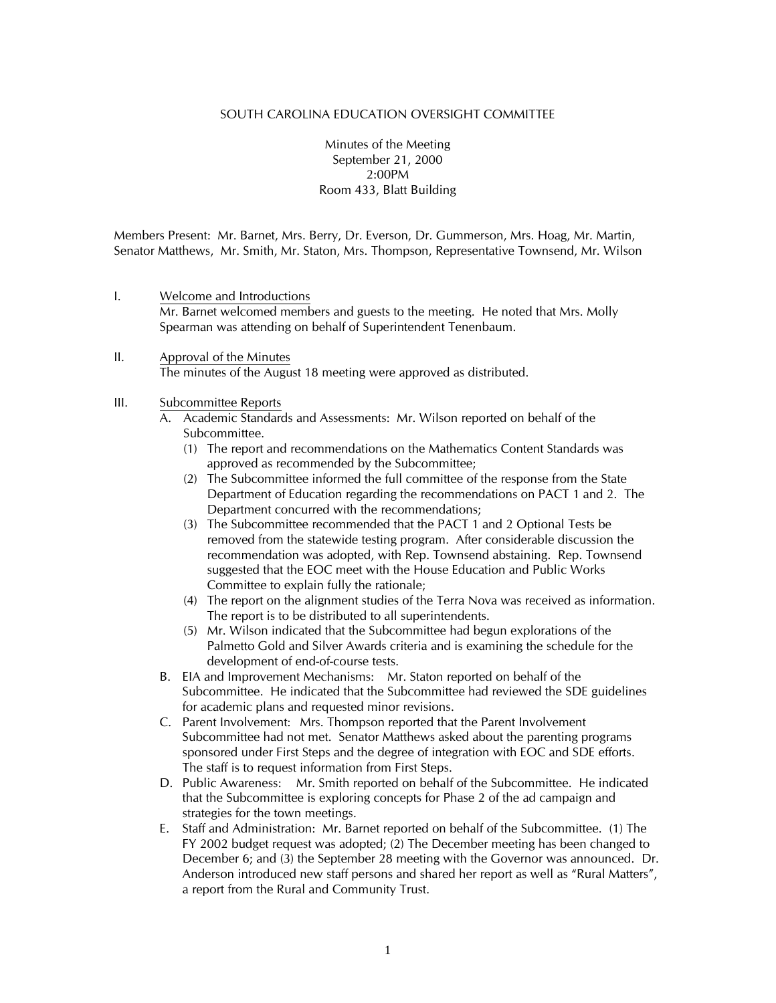Minutes of the Meeting September 21, 2000 2:00PM Room 433, Blatt Building

Members Present: Mr. Barnet, Mrs. Berry, Dr. Everson, Dr. Gummerson, Mrs. Hoag, Mr. Martin, Senator Matthews, Mr. Smith, Mr. Staton, Mrs. Thompson, Representative Townsend, Mr. Wilson

- I. Welcome and Introductions Mr. Barnet welcomed members and guests to the meeting. He noted that Mrs. Molly Spearman was attending on behalf of Superintendent Tenenbaum.
- II. Approval of the Minutes The minutes of the August 18 meeting were approved as distributed.

#### III. Subcommittee Reports

- A. Academic Standards and Assessments: Mr. Wilson reported on behalf of the Subcommittee.
	- (1) The report and recommendations on the Mathematics Content Standards was approved as recommended by the Subcommittee;
	- (2) The Subcommittee informed the full committee of the response from the State Department of Education regarding the recommendations on PACT 1 and 2. The Department concurred with the recommendations;
	- (3) The Subcommittee recommended that the PACT 1 and 2 Optional Tests be removed from the statewide testing program. After considerable discussion the recommendation was adopted, with Rep. Townsend abstaining. Rep. Townsend suggested that the EOC meet with the House Education and Public Works Committee to explain fully the rationale;
	- (4) The report on the alignment studies of the Terra Nova was received as information. The report is to be distributed to all superintendents.
	- (5) Mr. Wilson indicated that the Subcommittee had begun explorations of the Palmetto Gold and Silver Awards criteria and is examining the schedule for the development of end-of-course tests.
- B. EIA and Improvement Mechanisms: Mr. Staton reported on behalf of the Subcommittee. He indicated that the Subcommittee had reviewed the SDE guidelines for academic plans and requested minor revisions.
- C. Parent Involvement: Mrs. Thompson reported that the Parent Involvement Subcommittee had not met. Senator Matthews asked about the parenting programs sponsored under First Steps and the degree of integration with EOC and SDE efforts. The staff is to request information from First Steps.
- D. Public Awareness: Mr. Smith reported on behalf of the Subcommittee. He indicated that the Subcommittee is exploring concepts for Phase 2 of the ad campaign and strategies for the town meetings.
- E. Staff and Administration: Mr. Barnet reported on behalf of the Subcommittee. (1) The FY 2002 budget request was adopted; (2) The December meeting has been changed to December 6; and (3) the September 28 meeting with the Governor was announced. Dr. Anderson introduced new staff persons and shared her report as well as "Rural Matters", a report from the Rural and Community Trust.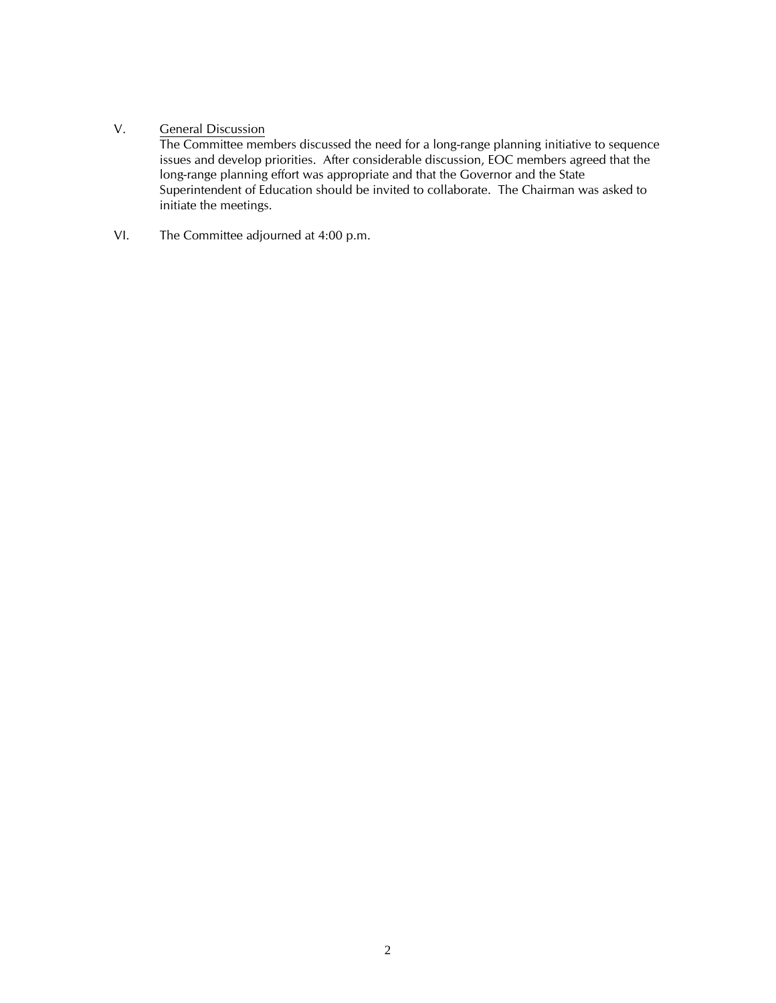# V. General Discussion

The Committee members discussed the need for a long-range planning initiative to sequence issues and develop priorities. After considerable discussion, EOC members agreed that the long-range planning effort was appropriate and that the Governor and the State Superintendent of Education should be invited to collaborate. The Chairman was asked to initiate the meetings.

VI. The Committee adjourned at 4:00 p.m.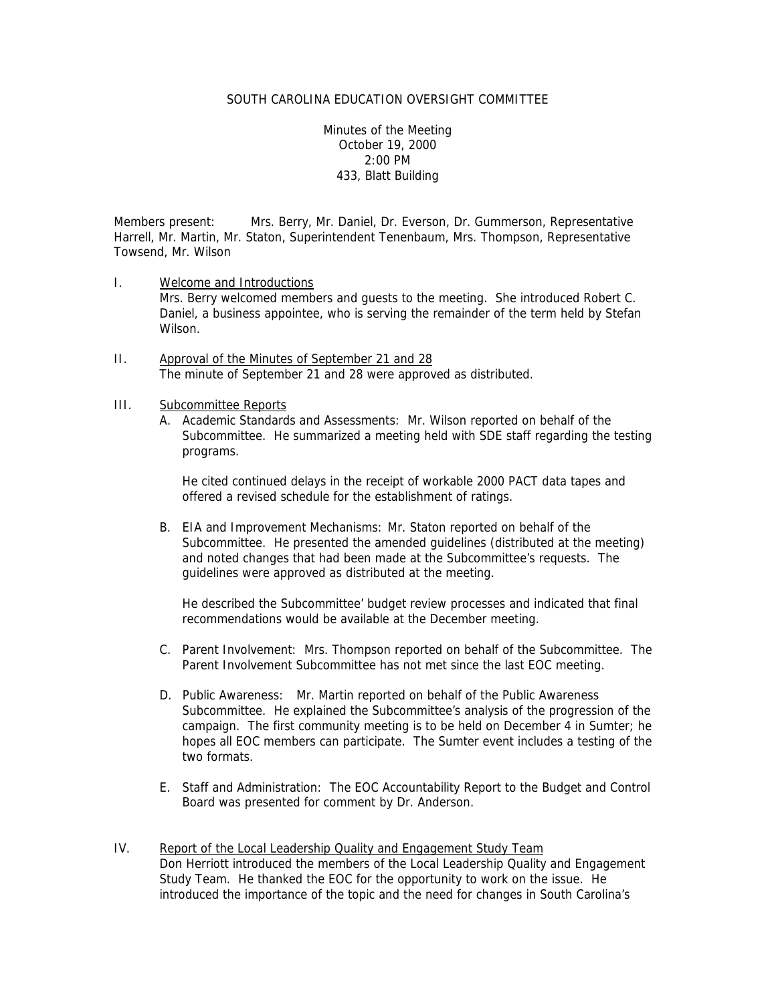Minutes of the Meeting October 19, 2000 2:00 PM 433, Blatt Building

Members present: Mrs. Berry, Mr. Daniel, Dr. Everson, Dr. Gummerson, Representative Harrell, Mr. Martin, Mr. Staton, Superintendent Tenenbaum, Mrs. Thompson, Representative Towsend, Mr. Wilson

- I. Welcome and Introductions Mrs. Berry welcomed members and guests to the meeting. She introduced Robert C. Daniel, a business appointee, who is serving the remainder of the term held by Stefan Wilson.
- II. Approval of the Minutes of September 21 and 28 The minute of September 21 and 28 were approved as distributed.
- III. Subcommittee Reports
	- A. Academic Standards and Assessments: Mr. Wilson reported on behalf of the Subcommittee. He summarized a meeting held with SDE staff regarding the testing programs.

He cited continued delays in the receipt of workable 2000 PACT data tapes and offered a revised schedule for the establishment of ratings.

B. EIA and Improvement Mechanisms: Mr. Staton reported on behalf of the Subcommittee. He presented the amended guidelines (distributed at the meeting) and noted changes that had been made at the Subcommittee's requests. The guidelines were approved as distributed at the meeting.

He described the Subcommittee' budget review processes and indicated that final recommendations would be available at the December meeting.

- C. Parent Involvement: Mrs. Thompson reported on behalf of the Subcommittee. The Parent Involvement Subcommittee has not met since the last EOC meeting.
- D. Public Awareness: Mr. Martin reported on behalf of the Public Awareness Subcommittee. He explained the Subcommittee's analysis of the progression of the campaign. The first community meeting is to be held on December 4 in Sumter; he hopes all EOC members can participate. The Sumter event includes a testing of the two formats.
- E. Staff and Administration: The EOC Accountability Report to the Budget and Control Board was presented for comment by Dr. Anderson.
- IV. Report of the Local Leadership Quality and Engagement Study Team Don Herriott introduced the members of the Local Leadership Quality and Engagement Study Team. He thanked the EOC for the opportunity to work on the issue. He introduced the importance of the topic and the need for changes in South Carolina's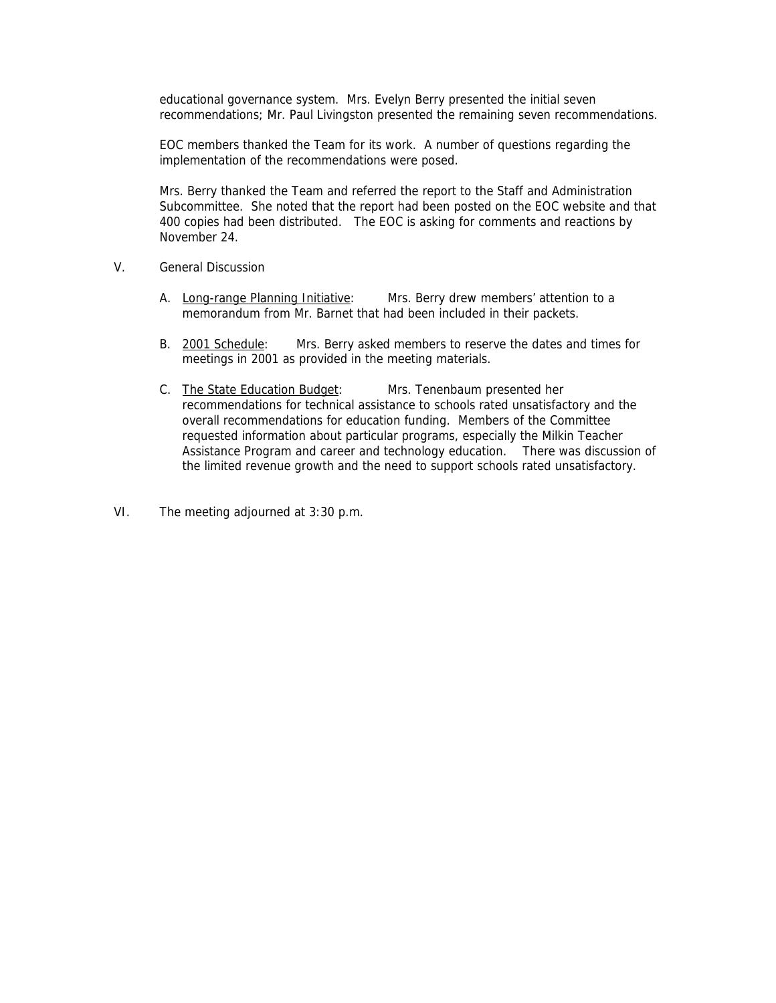educational governance system. Mrs. Evelyn Berry presented the initial seven recommendations; Mr. Paul Livingston presented the remaining seven recommendations.

EOC members thanked the Team for its work. A number of questions regarding the implementation of the recommendations were posed.

Mrs. Berry thanked the Team and referred the report to the Staff and Administration Subcommittee. She noted that the report had been posted on the EOC website and that 400 copies had been distributed. The EOC is asking for comments and reactions by November 24.

- V. General Discussion
	- A. Long-range Planning Initiative: Mrs. Berry drew members' attention to a memorandum from Mr. Barnet that had been included in their packets.
	- B. 2001 Schedule: Mrs. Berry asked members to reserve the dates and times for meetings in 2001 as provided in the meeting materials.
	- C. The State Education Budget: Mrs. Tenenbaum presented her recommendations for technical assistance to schools rated unsatisfactory and the overall recommendations for education funding. Members of the Committee requested information about particular programs, especially the Milkin Teacher Assistance Program and career and technology education. There was discussion of the limited revenue growth and the need to support schools rated unsatisfactory.
- VI. The meeting adjourned at 3:30 p.m.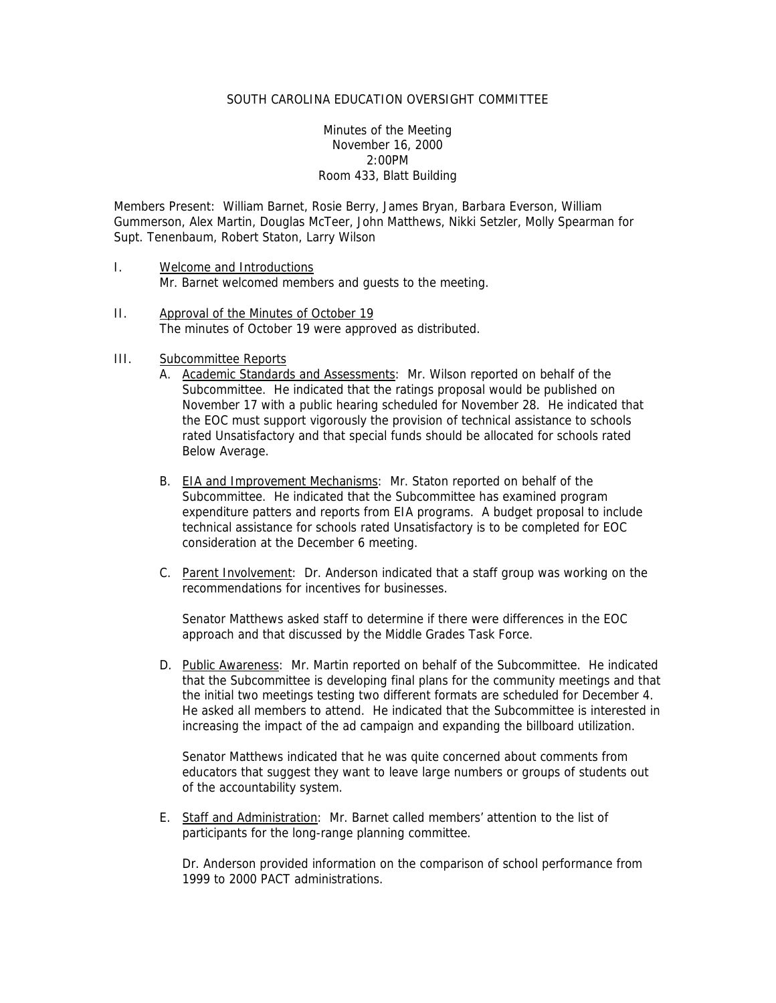Minutes of the Meeting November 16, 2000 2:00PM Room 433, Blatt Building

Members Present: William Barnet, Rosie Berry, James Bryan, Barbara Everson, William Gummerson, Alex Martin, Douglas McTeer, John Matthews, Nikki Setzler, Molly Spearman for Supt. Tenenbaum, Robert Staton, Larry Wilson

- I. Welcome and Introductions Mr. Barnet welcomed members and guests to the meeting.
- II. Approval of the Minutes of October 19 The minutes of October 19 were approved as distributed.
- III. Subcommittee Reports
	- A. Academic Standards and Assessments: Mr. Wilson reported on behalf of the Subcommittee. He indicated that the ratings proposal would be published on November 17 with a public hearing scheduled for November 28. He indicated that the EOC must support vigorously the provision of technical assistance to schools rated Unsatisfactory and that special funds should be allocated for schools rated Below Average.
	- B. EIA and Improvement Mechanisms: Mr. Staton reported on behalf of the Subcommittee. He indicated that the Subcommittee has examined program expenditure patters and reports from EIA programs. A budget proposal to include technical assistance for schools rated Unsatisfactory is to be completed for EOC consideration at the December 6 meeting.
	- C. Parent Involvement: Dr. Anderson indicated that a staff group was working on the recommendations for incentives for businesses.

 Senator Matthews asked staff to determine if there were differences in the EOC approach and that discussed by the Middle Grades Task Force.

D. Public Awareness: Mr. Martin reported on behalf of the Subcommittee. He indicated that the Subcommittee is developing final plans for the community meetings and that the initial two meetings testing two different formats are scheduled for December 4. He asked all members to attend. He indicated that the Subcommittee is interested in increasing the impact of the ad campaign and expanding the billboard utilization.

Senator Matthews indicated that he was quite concerned about comments from educators that suggest they want to leave large numbers or groups of students out of the accountability system.

E. Staff and Administration: Mr. Barnet called members' attention to the list of participants for the long-range planning committee.

Dr. Anderson provided information on the comparison of school performance from 1999 to 2000 PACT administrations.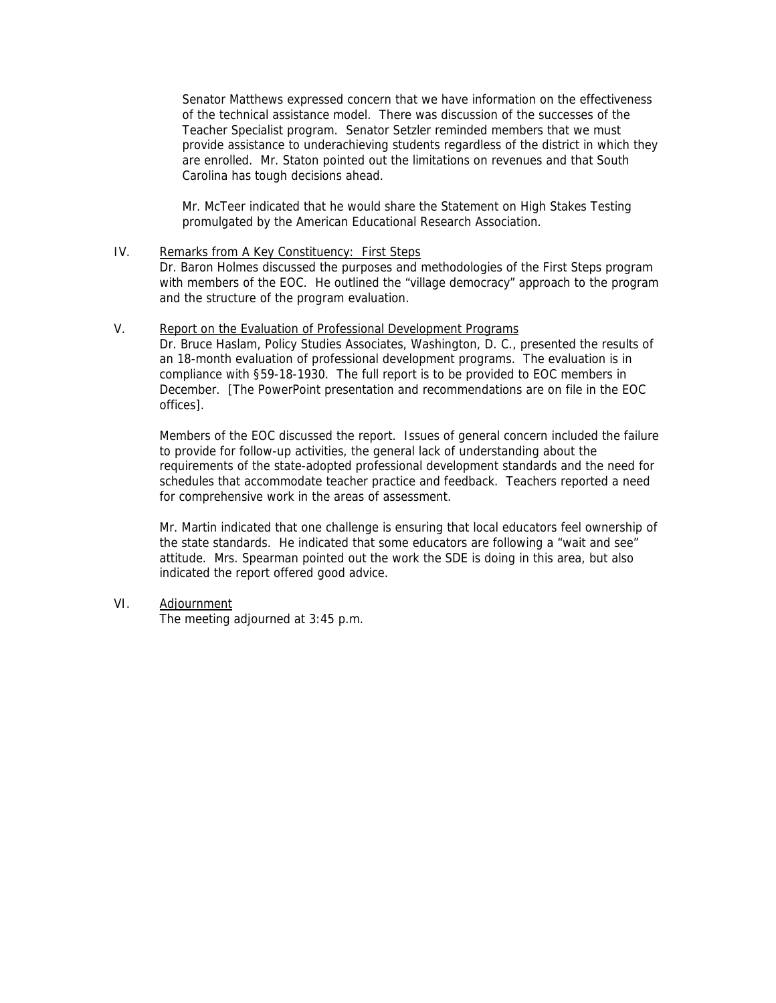Senator Matthews expressed concern that we have information on the effectiveness of the technical assistance model. There was discussion of the successes of the Teacher Specialist program. Senator Setzler reminded members that we must provide assistance to underachieving students regardless of the district in which they are enrolled. Mr. Staton pointed out the limitations on revenues and that South Carolina has tough decisions ahead.

Mr. McTeer indicated that he would share the Statement on High Stakes Testing promulgated by the American Educational Research Association.

- IV. Remarks from A Key Constituency: First Steps Dr. Baron Holmes discussed the purposes and methodologies of the First Steps program with members of the EOC. He outlined the "village democracy" approach to the program and the structure of the program evaluation.
- V. Report on the Evaluation of Professional Development Programs

Dr. Bruce Haslam, Policy Studies Associates, Washington, D. C., presented the results of an 18-month evaluation of professional development programs. The evaluation is in compliance with §59-18-1930. The full report is to be provided to EOC members in December. [The PowerPoint presentation and recommendations are on file in the EOC offices].

Members of the EOC discussed the report. Issues of general concern included the failure to provide for follow-up activities, the general lack of understanding about the requirements of the state-adopted professional development standards and the need for schedules that accommodate teacher practice and feedback. Teachers reported a need for comprehensive work in the areas of assessment.

Mr. Martin indicated that one challenge is ensuring that local educators feel ownership of the state standards. He indicated that some educators are following a "wait and see" attitude. Mrs. Spearman pointed out the work the SDE is doing in this area, but also indicated the report offered good advice.

VI. Adjournment

The meeting adjourned at 3:45 p.m.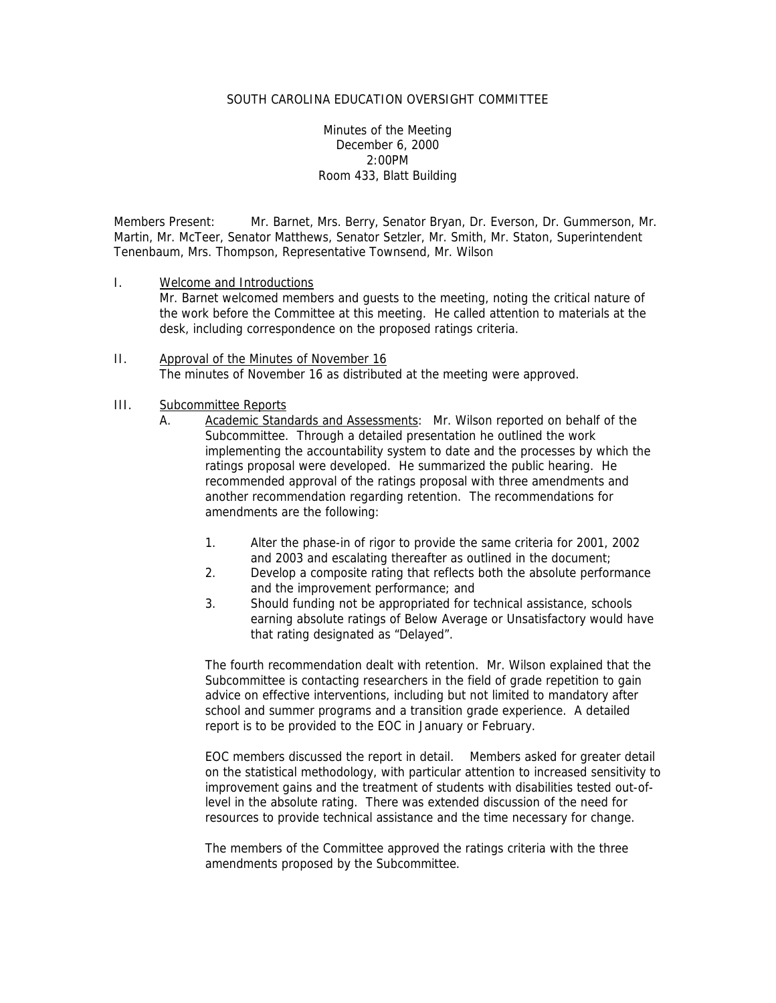Minutes of the Meeting December 6, 2000 2:00PM Room 433, Blatt Building

Members Present: Mr. Barnet, Mrs. Berry, Senator Bryan, Dr. Everson, Dr. Gummerson, Mr. Martin, Mr. McTeer, Senator Matthews, Senator Setzler, Mr. Smith, Mr. Staton, Superintendent Tenenbaum, Mrs. Thompson, Representative Townsend, Mr. Wilson

- I. Welcome and Introductions Mr. Barnet welcomed members and guests to the meeting, noting the critical nature of the work before the Committee at this meeting. He called attention to materials at the desk, including correspondence on the proposed ratings criteria.
- II. Approval of the Minutes of November 16 The minutes of November 16 as distributed at the meeting were approved.

#### III. Subcommittee Reports

- A. Academic Standards and Assessments: Mr. Wilson reported on behalf of the Subcommittee. Through a detailed presentation he outlined the work implementing the accountability system to date and the processes by which the ratings proposal were developed. He summarized the public hearing. He recommended approval of the ratings proposal with three amendments and another recommendation regarding retention. The recommendations for amendments are the following:
	- 1. Alter the phase-in of rigor to provide the same criteria for 2001, 2002 and 2003 and escalating thereafter as outlined in the document;
	- 2. Develop a composite rating that reflects both the absolute performance and the improvement performance; and
	- 3. Should funding not be appropriated for technical assistance, schools earning absolute ratings of Below Average or Unsatisfactory would have that rating designated as "Delayed".

The fourth recommendation dealt with retention. Mr. Wilson explained that the Subcommittee is contacting researchers in the field of grade repetition to gain advice on effective interventions, including but not limited to mandatory after school and summer programs and a transition grade experience. A detailed report is to be provided to the EOC in January or February.

EOC members discussed the report in detail. Members asked for greater detail on the statistical methodology, with particular attention to increased sensitivity to improvement gains and the treatment of students with disabilities tested out-oflevel in the absolute rating. There was extended discussion of the need for resources to provide technical assistance and the time necessary for change.

The members of the Committee approved the ratings criteria with the three amendments proposed by the Subcommittee.